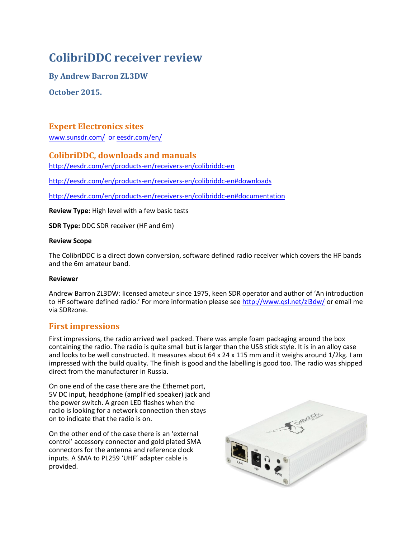# **ColibriDDC receiver review**

**By Andrew Barron ZL3DW**

**October 2015.**

## **Expert Electronics sites**

[www.sunsdr.com/](http://www.sunsdr.com/) o[r eesdr.com/en/](http://www.sunsdr.eu/product/sunsdr2pro/)

### **ColibriDDC, downloads and manuals**

<http://eesdr.com/en/products-en/receivers-en/colibriddc-en>

<http://eesdr.com/en/products-en/receivers-en/colibriddc-en#downloads>

<http://eesdr.com/en/products-en/receivers-en/colibriddc-en#documentation>

**Review Type:** High level with a few basic tests

**SDR Type:** DDC SDR receiver (HF and 6m)

#### **Review Scope**

The ColibriDDC is a direct down conversion, software defined radio receiver which covers the HF bands and the 6m amateur band.

### **Reviewer**

Andrew Barron ZL3DW: licensed amateur since 1975, keen SDR operator and author of 'An introduction to HF software defined radio.' For more information please see <http://www.qsl.net/zl3dw/> or email me via SDRzone.

### **First impressions**

First impressions, the radio arrived well packed. There was ample foam packaging around the box containing the radio. The radio is quite small but is larger than the USB stick style. It is in an alloy case and looks to be well constructed. It measures about 64 x 24 x 115 mm and it weighs around 1/2kg. I am impressed with the build quality. The finish is good and the labelling is good too. The radio was shipped direct from the manufacturer in Russia.

On one end of the case there are the Ethernet port, 5V DC input, headphone (amplified speaker) jack and the power switch. A green LED flashes when the radio is looking for a network connection then stays on to indicate that the radio is on.

On the other end of the case there is an 'external control' accessory connector and gold plated SMA connectors for the antenna and reference clock inputs. A SMA to PL259 'UHF' adapter cable is provided.

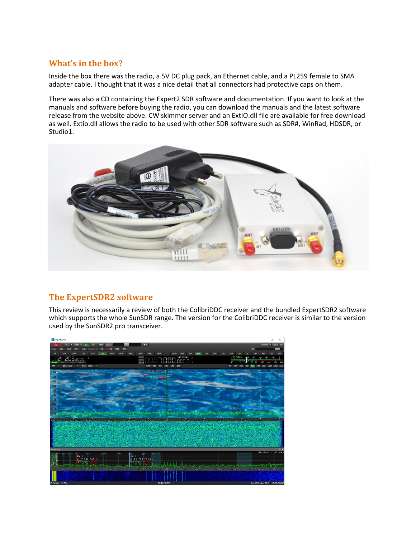# **What's in the box?**

Inside the box there was the radio, a 5V DC plug pack, an Ethernet cable, and a PL259 female to SMA adapter cable. I thought that it was a nice detail that all connectors had protective caps on them.

There was also a CD containing the Expert2 SDR software and documentation. If you want to look at the manuals and software before buying the radio, you can download the manuals and the latest software release from the website above. CW skimmer server and an ExtIO.dll file are available for free download as well. Extio.dll allows the radio to be used with other SDR software such as SDR#, WinRad, HDSDR, or Studio1.



# **The ExpertSDR2 software**

This review is necessarily a review of both the ColibriDDC receiver and the bundled ExpertSDR2 software which supports the whole SunSDR range. The version for the ColibriDDC receiver is similar to the version used by the SunSDR2 pro transceiver.

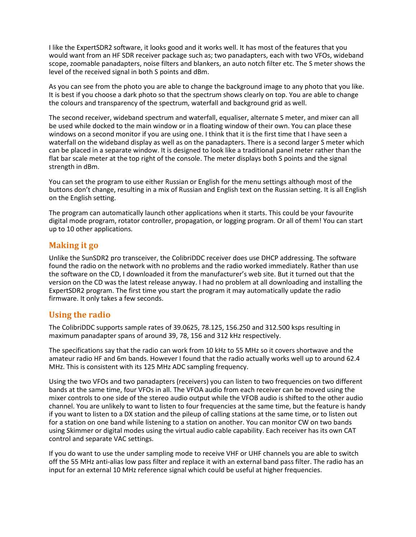I like the ExpertSDR2 software, it looks good and it works well. It has most of the features that you would want from an HF SDR receiver package such as; two panadapters, each with two VFOs, wideband scope, zoomable panadapters, noise filters and blankers, an auto notch filter etc. The S meter shows the level of the received signal in both S points and dBm.

As you can see from the photo you are able to change the background image to any photo that you like. It is best if you choose a dark photo so that the spectrum shows clearly on top. You are able to change the colours and transparency of the spectrum, waterfall and background grid as well.

The second receiver, wideband spectrum and waterfall, equaliser, alternate S meter, and mixer can all be used while docked to the main window or in a floating window of their own. You can place these windows on a second monitor if you are using one. I think that it is the first time that I have seen a waterfall on the wideband display as well as on the panadapters. There is a second larger S meter which can be placed in a separate window. It is designed to look like a traditional panel meter rather than the flat bar scale meter at the top right of the console. The meter displays both S points and the signal strength in dBm.

You can set the program to use either Russian or English for the menu settings although most of the buttons don't change, resulting in a mix of Russian and English text on the Russian setting. It is all English on the English setting.

The program can automatically launch other applications when it starts. This could be your favourite digital mode program, rotator controller, propagation, or logging program. Or all of them! You can start up to 10 other applications.

### **Making it go**

Unlike the SunSDR2 pro transceiver, the ColibriDDC receiver does use DHCP addressing. The software found the radio on the network with no problems and the radio worked immediately. Rather than use the software on the CD, I downloaded it from the manufacturer's web site. But it turned out that the version on the CD was the latest release anyway. I had no problem at all downloading and installing the ExpertSDR2 program. The first time you start the program it may automatically update the radio firmware. It only takes a few seconds.

# **Using the radio**

The ColibriDDC supports sample rates of 39.0625, 78.125, 156.250 and 312.500 ksps resulting in maximum panadapter spans of around 39, 78, 156 and 312 kHz respectively.

The specifications say that the radio can work from 10 kHz to 55 MHz so it covers shortwave and the amateur radio HF and 6m bands. However I found that the radio actually works well up to around 62.4 MHz. This is consistent with its 125 MHz ADC sampling frequency.

Using the two VFOs and two panadapters (receivers) you can listen to two frequencies on two different bands at the same time, four VFOs in all. The VFOA audio from each receiver can be moved using the mixer controls to one side of the stereo audio output while the VFOB audio is shifted to the other audio channel. You are unlikely to want to listen to four frequencies at the same time, but the feature is handy if you want to listen to a DX station and the pileup of calling stations at the same time, or to listen out for a station on one band while listening to a station on another. You can monitor CW on two bands using Skimmer or digital modes using the virtual audio cable capability. Each receiver has its own CAT control and separate VAC settings.

If you do want to use the under sampling mode to receive VHF or UHF channels you are able to switch off the 55 MHz anti-alias low pass filter and replace it with an external band pass filter. The radio has an input for an external 10 MHz reference signal which could be useful at higher frequencies.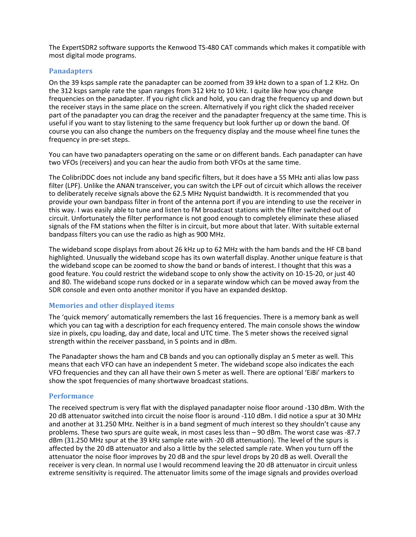The ExpertSDR2 software supports the Kenwood TS-480 CAT commands which makes it compatible with most digital mode programs.

#### **Panadapters**

On the 39 ksps sample rate the panadapter can be zoomed from 39 kHz down to a span of 1.2 KHz. On the 312 ksps sample rate the span ranges from 312 kHz to 10 kHz. I quite like how you change frequencies on the panadapter. If you right click and hold, you can drag the frequency up and down but the receiver stays in the same place on the screen. Alternatively if you right click the shaded receiver part of the panadapter you can drag the receiver and the panadapter frequency at the same time. This is useful if you want to stay listening to the same frequency but look further up or down the band. Of course you can also change the numbers on the frequency display and the mouse wheel fine tunes the frequency in pre-set steps.

You can have two panadapters operating on the same or on different bands. Each panadapter can have two VFOs (receivers) and you can hear the audio from both VFOs at the same time.

The ColibriDDC does not include any band specific filters, but it does have a 55 MHz anti alias low pass filter (LPF). Unlike the ANAN transceiver, you can switch the LPF out of circuit which allows the receiver to deliberately receive signals above the 62.5 MHz Nyquist bandwidth. It is recommended that you provide your own bandpass filter in front of the antenna port if you are intending to use the receiver in this way. I was easily able to tune and listen to FM broadcast stations with the filter switched out of circuit. Unfortunately the filter performance is not good enough to completely eliminate these aliased signals of the FM stations when the filter is in circuit, but more about that later. With suitable external bandpass filters you can use the radio as high as 900 MHz.

The wideband scope displays from about 26 kHz up to 62 MHz with the ham bands and the HF CB band highlighted. Unusually the wideband scope has its own waterfall display. Another unique feature is that the wideband scope can be zoomed to show the band or bands of interest. I thought that this was a good feature. You could restrict the wideband scope to only show the activity on 10-15-20, or just 40 and 80. The wideband scope runs docked or in a separate window which can be moved away from the SDR console and even onto another monitor if you have an expanded desktop.

### **Memories and other displayed items**

The 'quick memory' automatically remembers the last 16 frequencies. There is a memory bank as well which you can tag with a description for each frequency entered. The main console shows the window size in pixels, cpu loading, day and date, local and UTC time. The S meter shows the received signal strength within the receiver passband, in S points and in dBm.

The Panadapter shows the ham and CB bands and you can optionally display an S meter as well. This means that each VFO can have an independent S meter. The wideband scope also indicates the each VFO frequencies and they can all have their own S meter as well. There are optional 'EiBi' markers to show the spot frequencies of many shortwave broadcast stations.

#### **Performance**

The received spectrum is very flat with the displayed panadapter noise floor around -130 dBm. With the 20 dB attenuator switched into circuit the noise floor is around -110 dBm. I did notice a spur at 30 MHz and another at 31.250 MHz. Neither is in a band segment of much interest so they shouldn't cause any problems. These two spurs are quite weak, in most cases less than – 90 dBm. The worst case was -87.7 dBm (31.250 MHz spur at the 39 kHz sample rate with -20 dB attenuation). The level of the spurs is affected by the 20 dB attenuator and also a little by the selected sample rate. When you turn off the attenuator the noise floor improves by 20 dB and the spur level drops by 20 dB as well. Overall the receiver is very clean. In normal use I would recommend leaving the 20 dB attenuator in circuit unless extreme sensitivity is required. The attenuator limits some of the image signals and provides overload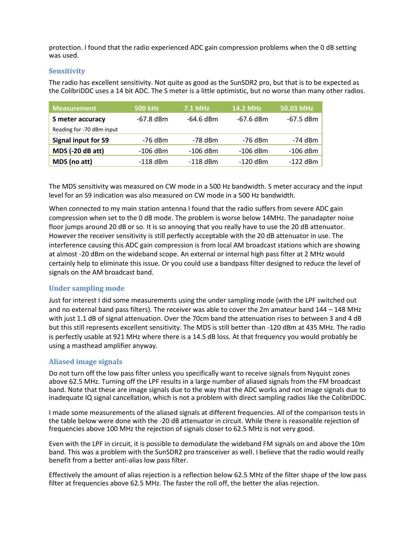protection. I found that the radio experienced ADC gain compression problems when the 0 dB setting was used.

### **Sensitivity**

The radio has excellent sensitivity. Not quite as good as the SunSDR2 pro, but that is to be expected as the ColibriDDC uses a 14 bit ADC. The S meter is a little optimistic, but no worse than many other radios.

| <b>Measurement</b>         | <b>500 kHz</b> | <b>7.1 MHz</b> | <b>14.2 MHz</b> | 50.03 MHz   |
|----------------------------|----------------|----------------|-----------------|-------------|
| S meter accuracy           | $-67.8$ dBm    | $-64.6$ dBm    | $-67.6$ dBm     | $-67.5$ dBm |
| Reading for -70 dBm input  |                |                |                 |             |
| <b>Signal input for S9</b> | -76 dBm        | -78 dBm        | $-76$ dBm       | $-74$ dBm   |
| <b>MDS (-20 dB att)</b>    | $-106$ dBm     | $-106$ dBm     | $-106$ dBm      | $-106$ dBm  |
| MDS (no att)               | $-118$ dBm     | $-118$ dBm     | $-120$ dBm      | $-122$ dBm  |

The MDS sensitivity was measured on CW mode in a 500 Hz bandwidth. S meter accuracy and the input level for an S9 indication was also measured on CW mode in a 500 Hz bandwidth.

When connected to my main station antenna I found that the radio suffers from severe ADC gain compression when set to the 0 dB mode. The problem is worse below 14MHz. The panadapter noise floor jumps around 20 dB or so. It is so annoying that you really have to use the 20 dB attenuator. However the receiver sensitivity is still perfectly acceptable with the 20 dB attenuator in use. The interference causing this ADC gain compression is from local AM broadcast stations which are showing at almost -20 dBm on the wideband scope. An external or internal high pass filter at 2 MHz would certainly help to eliminate this issue. Or you could use a bandpass filter designed to reduce the level of signals on the AM broadcast band.

### **Under sampling mode**

Just for interest I did some measurements using the under sampling mode (with the LPF switched out and no external band pass filters). The receiver was able to cover the 2m amateur band 144 – 148 MHz with just 1.1 dB of signal attenuation. Over the 70cm band the attenuation rises to between 3 and 4 dB but this still represents excellent sensitivity. The MDS is still better than -120 dBm at 435 MHz. The radio is perfectly usable at 921 MHz where there is a 14.5 dB loss. At that frequency you would probably be using a masthead amplifier anyway.

### **Aliased image signals**

Do not turn off the low pass filter unless you specifically want to receive signals from Nyquist zones above 62.5 MHz. Turning off the LPF results in a large number of aliased signals from the FM broadcast band. Note that these are image signals due to the way that the ADC works and not image signals due to inadequate IQ signal cancellation, which is not a problem with direct sampling radios like the ColibriDDC.

I made some measurements of the aliased signals at different frequencies. All of the comparison tests in the table below were done with the -20 dB attenuator in circuit. While there is reasonable rejection of frequencies above 100 MHz the rejection of signals closer to 62.5 MHz is not very good.

Even with the LPF in circuit, it is possible to demodulate the wideband FM signals on and above the 10m band. This was a problem with the SunSDR2 pro transceiver as well. I believe that the radio would really benefit from a better anti-alias low pass filter.

Effectively the amount of alias rejection is a reflection below 62.5 MHz of the filter shape of the low pass filter at frequencies above 62.5 MHz. The faster the roll off, the better the alias rejection.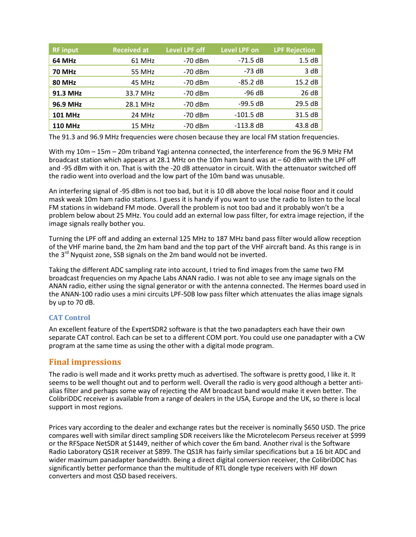| <b>RF</b> input | <b>Received at</b> | <b>Level LPF off</b> | <b>Level LPF on</b> | <b>LPF Rejection</b> |
|-----------------|--------------------|----------------------|---------------------|----------------------|
| 64 MHz          | 61 MHz             | $-70$ dBm            | $-71.5$ dB          | 1.5 dB               |
| <b>70 MHz</b>   | 55 MHz             | $-70$ dBm            | $-73$ dB            | 3 dB                 |
| <b>80 MHz</b>   | 45 MHz             | $-70$ dBm            | $-85.2 dB$          | 15.2 dB              |
| 91.3 MHz        | 33.7 MHz           | $-70$ dBm            | $-96 dB$            | 26 dB                |
| 96.9 MHz        | 28.1 MHz           | $-70$ dBm            | $-99.5 dB$          | 29.5 dB              |
| <b>101 MHz</b>  | 24 MHz             | $-70$ dBm            | $-101.5$ dB         | 31.5dB               |
| <b>110 MHz</b>  | 15 MHz             | $-70$ dBm            | $-113.8$ dB         | 43.8 dB              |

The 91.3 and 96.9 MHz frequencies were chosen because they are local FM station frequencies.

With my 10m – 15m – 20m triband Yagi antenna connected, the interference from the 96.9 MHz FM broadcast station which appears at 28.1 MHz on the 10m ham band was at – 60 dBm with the LPF off and -95 dBm with it on. That is with the -20 dB attenuator in circuit. With the attenuator switched off the radio went into overload and the low part of the 10m band was unusable.

An interfering signal of -95 dBm is not too bad, but it is 10 dB above the local noise floor and it could mask weak 10m ham radio stations. I guess it is handy if you want to use the radio to listen to the local FM stations in wideband FM mode. Overall the problem is not too bad and it probably won't be a problem below about 25 MHz. You could add an external low pass filter, for extra image rejection, if the image signals really bother you.

Turning the LPF off and adding an external 125 MHz to 187 MHz band pass filter would allow reception of the VHF marine band, the 2m ham band and the top part of the VHF aircraft band. As this range is in the 3<sup>rd</sup> Nyquist zone, SSB signals on the 2m band would not be inverted.

Taking the different ADC sampling rate into account, I tried to find images from the same two FM broadcast frequencies on my Apache Labs ANAN radio. I was not able to see any image signals on the ANAN radio, either using the signal generator or with the antenna connected. The Hermes board used in the ANAN-100 radio uses a mini circuits LPF-50B low pass filter which attenuates the alias image signals by up to 70 dB.

### **CAT Control**

An excellent feature of the ExpertSDR2 software is that the two panadapters each have their own separate CAT control. Each can be set to a different COM port. You could use one panadapter with a CW program at the same time as using the other with a digital mode program.

### **Final impressions**

The radio is well made and it works pretty much as advertised. The software is pretty good, I like it. It seems to be well thought out and to perform well. Overall the radio is very good although a better antialias filter and perhaps some way of rejecting the AM broadcast band would make it even better. The ColibriDDC receiver is available from a range of dealers in the USA, Europe and the UK, so there is local support in most regions.

Prices vary according to the dealer and exchange rates but the receiver is nominally \$650 USD. The price compares well with similar direct sampling SDR receivers like the Microtelecom Perseus receiver at \$999 or the RFSpace NetSDR at \$1449, neither of which cover the 6m band. Another rival is the Software Radio Laboratory QS1R receiver at \$899. The QS1R has fairly similar specifications but a 16 bit ADC and wider maximum panadapter bandwidth. Being a direct digital conversion receiver, the ColibriDDC has significantly better performance than the multitude of RTL dongle type receivers with HF down converters and most QSD based receivers.